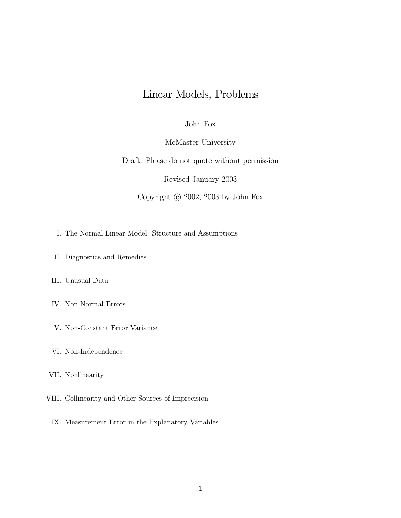# Linear Models, Problems

John Fox

McMaster University

Draft: Please do not quote without permission

Revised January 2003

Copyright  $\odot$  2002, 2003 by John Fox

I. The Normal Linear Model: Structure and Assumptions

II. Diagnostics and Remedies

III. Unusual Data

IV. Non-Normal Errors

V. Non-Constant Error Variance

VI. Non-Independence

VII. Nonlinearity

VIII. Collinearity and Other Sources of Imprecision

IX. Measurement Error in the Explanatory Variables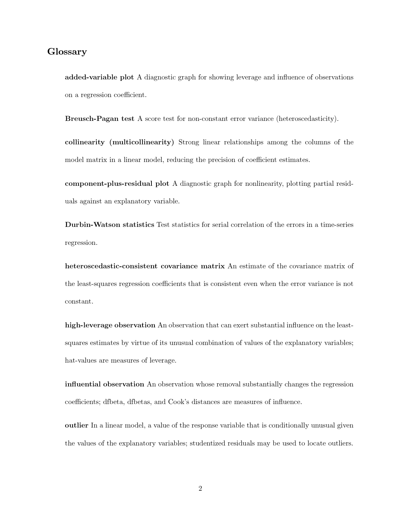# **Glossary**

added-variable plot A diagnostic graph for showing leverage and influence of observations on a regression coefficient.

Breusch-Pagan test A score test for non-constant error variance (heteroscedasticity).

collinearity (multicollinearity) Strong linear relationships among the columns of the model matrix in a linear model, reducing the precision of coefficient estimates.

component-plus-residual plot A diagnostic graph for nonlinearity, plotting partial residuals against an explanatory variable.

Durbin-Watson statistics Test statistics for serial correlation of the errors in a time-series regression.

heteroscedastic-consistent covariance matrix An estimate of the covariance matrix of the least-squares regression coefficients that is consistent even when the error variance is not constant.

high-leverage observation An observation that can exert substantial influence on the leastsquares estimates by virtue of its unusual combination of values of the explanatory variables; hat-values are measures of leverage.

influential observation An observation whose removal substantially changes the regression coefficients; dfbeta, dfbetas, and Cook's distances are measures of influence.

outlier In a linear model, a value of the response variable that is conditionally unusual given the values of the explanatory variables; studentized residuals may be used to locate outliers.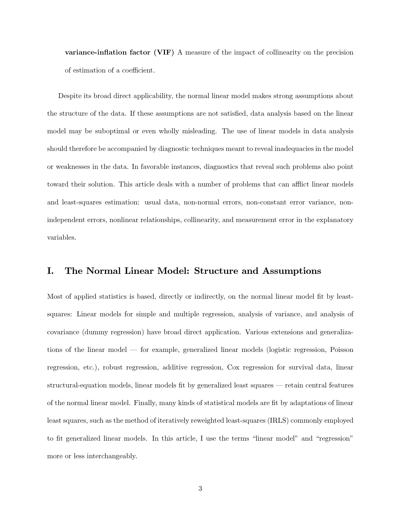variance-inflation factor (VIF) A measure of the impact of collinearity on the precision of estimation of a coefficient.

Despite its broad direct applicability, the normal linear model makes strong assumptions about the structure of the data. If these assumptions are not satisfied, data analysis based on the linear model may be suboptimal or even wholly misleading. The use of linear models in data analysis should therefore be accompanied by diagnostic techniques meant to reveal inadequacies in the model or weaknesses in the data. In favorable instances, diagnostics that reveal such problems also point toward their solution. This article deals with a number of problems that can afflict linear models and least-squares estimation: usual data, non-normal errors, non-constant error variance, nonindependent errors, nonlinear relationships, collinearity, and measurement error in the explanatory variables.

### I. The Normal Linear Model: Structure and Assumptions

Most of applied statistics is based, directly or indirectly, on the normal linear model fit by leastsquares: Linear models for simple and multiple regression, analysis of variance, and analysis of covariance (dummy regression) have broad direct application. Various extensions and generalizations of the linear model – for example, generalized linear models (logistic regression, Poisson regression, etc.), robust regression, additive regression, Cox regression for survival data, linear structural-equation models, linear models fit by generalized least squares – retain central features of the normal linear model. Finally, many kinds of statistical models are fit by adaptations of linear least squares, such as the method of iteratively reweighted least-squares (IRLS) commonly employed to fit generalized linear models. In this article, I use the terms "linear model" and "regression" more or less interchangeably.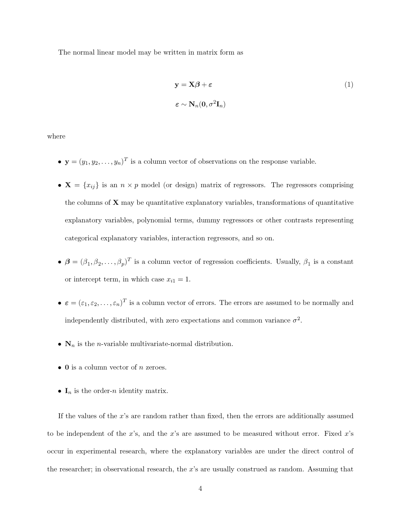The normal linear model may be written in matrix form as

$$
\mathbf{y} = \mathbf{X}\boldsymbol{\beta} + \boldsymbol{\varepsilon}
$$
  
\n
$$
\boldsymbol{\varepsilon} \sim \mathbf{N}_n(\mathbf{0}, \sigma^2 \mathbf{I}_n)
$$
 (1)

where

- $\mathbf{y} = (y_1, y_2, \dots, y_n)^T$  is a column vector of observations on the response variable.
- $X = \{x_{ij}\}\$ is an  $n \times p$  model (or design) matrix of regressors. The regressors comprising the columns of  $X$  may be quantitative explanatory variables, transformations of quantitative explanatory variables, polynomial terms, dummy regressors or other contrasts representing categorical explanatory variables, interaction regressors, and so on.
- $\boldsymbol{\beta} = (\beta_1, \beta_2, \dots, \beta_p)^T$  is a column vector of regression coefficients. Usually,  $\beta_1$  is a constant or intercept term, in which case  $x_{i1} = 1$ .
- $\varepsilon = (\varepsilon_1, \varepsilon_2, \dots, \varepsilon_n)^T$  is a column vector of errors. The errors are assumed to be normally and independently distributed, with zero expectations and common variance  $\sigma^2$ .
- $\bullet~\mathbf{N}_n$  is the  $n\text{-variable multivariate-normal distribution.}$
- 0 is a column vector of  $n$  zeroes.
- $I_n$  is the order-*n* identity matrix.

If the values of the  $x$ 's are random rather than fixed, then the errors are additionally assumed to be independent of the x's, and the x's are assumed to be measured without error. Fixed  $x$ 's occur in experimental research, where the explanatory variables are under the direct control of the researcher; in observational research, the x's are usually construed as random. Assuming that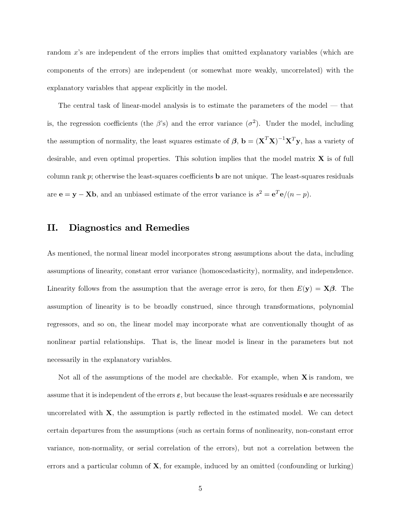random x's are independent of the errors implies that omitted explanatory variables (which are components of the errors) are independent (or somewhat more weakly, uncorrelated) with the explanatory variables that appear explicitly in the model.

The central task of linear-model analysis is to estimate the parameters of the model – that is, the regression coefficients (the  $\beta$ 's) and the error variance ( $\sigma^2$ ). Under the model, including the assumption of normality, the least squares estimate of  $\beta$ ,  $\mathbf{b} = (\mathbf{X}^T \mathbf{X})^{-1} \mathbf{X}^T \mathbf{y}$ , has a variety of desirable, and even optimal properties. This solution implies that the model matrix  $\bf{X}$  is of full column rank  $p$ ; otherwise the least-squares coefficients  $\bf{b}$  are not unique. The least-squares residuals are  $\mathbf{e} = \mathbf{y} - \mathbf{X}\mathbf{b}$ , and an unbiased estimate of the error variance is  $s^2 = \mathbf{e}^T \mathbf{e} / (n - p)$ .

# II. Diagnostics and Remedies

As mentioned, the normal linear model incorporates strong assumptions about the data, including assumptions of linearity, constant error variance (homoscedasticity), normality, and independence. Linearity follows from the assumption that the average error is zero, for then  $E(y) = X\beta$ . The assumption of linearity is to be broadly construed, since through transformations, polynomial regressors, and so on, the linear model may incorporate what are conventionally thought of as nonlinear partial relationships. That is, the linear model is linear in the parameters but not necessarily in the explanatory variables.

Not all of the assumptions of the model are checkable. For example, when  $X$  is random, we assume that it is independent of the errors  $\varepsilon$ , but because the least-squares residuals e are necessarily uncorrelated with  $X$ , the assumption is partly reflected in the estimated model. We can detect certain departures from the assumptions (such as certain forms of nonlinearity, non-constant error variance, non-normality, or serial correlation of the errors), but not a correlation between the errors and a particular column of  $X$ , for example, induced by an omitted (confounding or lurking)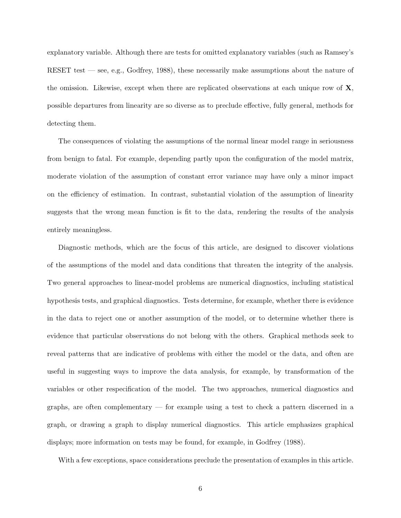explanatory variable. Although there are tests for omitted explanatory variables (such as Ramsey's RESET test – see, e.g., Godfrey, 1988), these necessarily make assumptions about the nature of the omission. Likewise, except when there are replicated observations at each unique row of  $X$ , possible departures from linearity are so diverse as to preclude effective, fully general, methods for detecting them.

The consequences of violating the assumptions of the normal linear model range in seriousness from benign to fatal. For example, depending partly upon the configuration of the model matrix, moderate violation of the assumption of constant error variance may have only a minor impact on the efficiency of estimation. In contrast, substantial violation of the assumption of linearity suggests that the wrong mean function is fit to the data, rendering the results of the analysis entirely meaningless.

Diagnostic methods, which are the focus of this article, are designed to discover violations of the assumptions of the model and data conditions that threaten the integrity of the analysis. Two general approaches to linear-model problems are numerical diagnostics, including statistical hypothesis tests, and graphical diagnostics. Tests determine, for example, whether there is evidence in the data to reject one or another assumption of the model, or to determine whether there is evidence that particular observations do not belong with the others. Graphical methods seek to reveal patterns that are indicative of problems with either the model or the data, and often are useful in suggesting ways to improve the data analysis, for example, by transformation of the variables or other respecification of the model. The two approaches, numerical diagnostics and graphs, are often complementary – for example using a test to check a pattern discerned in a graph, or drawing a graph to display numerical diagnostics. This article emphasizes graphical displays; more information on tests may be found, for example, in Godfrey (1988).

With a few exceptions, space considerations preclude the presentation of examples in this article.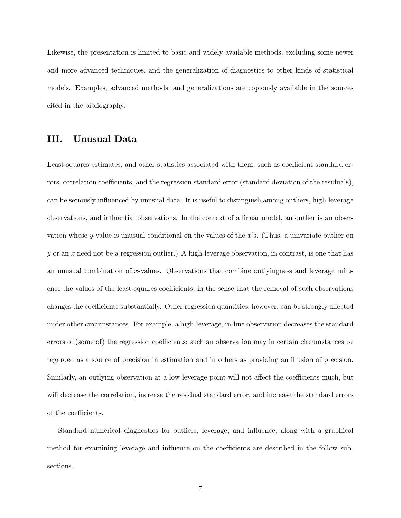Likewise, the presentation is limited to basic and widely available methods, excluding some newer and more advanced techniques, and the generalization of diagnostics to other kinds of statistical models. Examples, advanced methods, and generalizations are copiously available in the sources cited in the bibliography.

# III. Unusual Data

Least-squares estimates, and other statistics associated with them, such as coefficient standard errors, correlation coefficients, and the regression standard error (standard deviation of the residuals), can be seriously influenced by unusual data. It is useful to distinguish among outliers, high-leverage observations, and influential observations. In the context of a linear model, an outlier is an observation whose y-value is unusual conditional on the values of the x's. (Thus, a univariate outlier on y or an x need not be a regression outlier.) A high-leverage observation, in contrast, is one that has an unusual combination of x-values. Observations that combine outlyingness and leverage influence the values of the least-squares coefficients, in the sense that the removal of such observations changes the coefficients substantially. Other regression quantities, however, can be strongly affected under other circumstances. For example, a high-leverage, in-line observation decreases the standard errors of (some of) the regression coefficients; such an observation may in certain circumstances be regarded as a source of precision in estimation and in others as providing an illusion of precision. Similarly, an outlying observation at a low-leverage point will not affect the coefficients much, but will decrease the correlation, increase the residual standard error, and increase the standard errors of the coefficients.

Standard numerical diagnostics for outliers, leverage, and influence, along with a graphical method for examining leverage and influence on the coefficients are described in the follow subsections.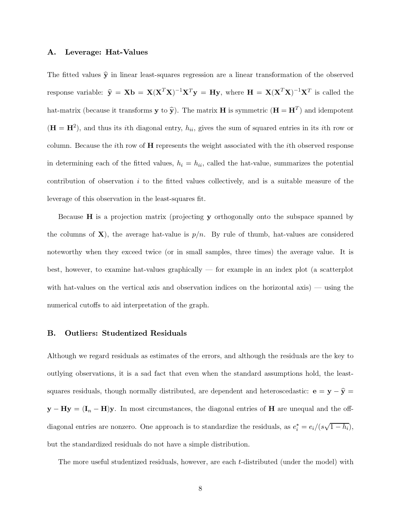#### A. Leverage: Hat-Values

The fitted values  $\hat{y}$  in linear least-squares regression are a linear transformation of the observed response variable:  $\hat{\mathbf{y}} = \mathbf{X}\mathbf{b} = \mathbf{X}(\mathbf{X}^T\mathbf{X})^{-1}\mathbf{X}^T\mathbf{y} = \mathbf{H}\mathbf{y}$ , where  $\mathbf{H} = \mathbf{X}(\mathbf{X}^T\mathbf{X})^{-1}\mathbf{X}^T$  is called the hat-matrix (because it transforms **y** to  $\hat{\mathbf{y}}$ ). The matrix **H** is symmetric (**H** = **H**<sup>T</sup>) and idempotent  $(H = H<sup>2</sup>)$ , and thus its *i*th diagonal entry,  $h_{ii}$ , gives the sum of squared entries in its *i*th row or column. Because the *i*th row of  $H$  represents the weight associated with the *i*th observed response in determining each of the fitted values,  $h_i = h_{ii}$ , called the hat-value, summarizes the potential contribution of observation  $i$  to the fitted values collectively, and is a suitable measure of the leverage of this observation in the least-squares fit.

Because  $H$  is a projection matrix (projecting y orthogonally onto the subspace spanned by the columns of  $X$ ), the average hat-value is  $p/n$ . By rule of thumb, hat-values are considered noteworthy when they exceed twice (or in small samples, three times) the average value. It is best, however, to examine hat-values graphically – for example in an index plot (a scatterplot with hat-values on the vertical axis and observation indices on the horizontal axis) — using the numerical cutoffs to aid interpretation of the graph.

#### B. Outliers: Studentized Residuals

Although we regard residuals as estimates of the errors, and although the residuals are the key to outlying observations, it is a sad fact that even when the standard assumptions hold, the leastsquares residuals, though normally distributed, are dependent and heteroscedastic:  $e = y - \hat{y} =$  $y - Hy = (I_n - H)y$ . In most circumstances, the diagonal entries of H are unequal and the offdiagonal entries are nonzero. One approach is to standardize the residuals, as  $e_i^* = e_i/(s\sqrt{1-h_i}),$ but the standardized residuals do not have a simple distribution.

The more useful studentized residuals, however, are each t-distributed (under the model) with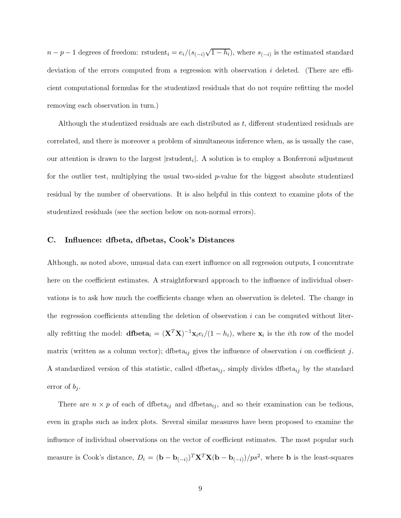$n-p-1$  degrees of freedom: rstudent<sub>i</sub> =  $e_i/(s_{(-i)}\sqrt{1-h_i})$ , where  $s_{(-i)}$  is the estimated standard deviation of the errors computed from a regression with observation i deleted. (There are efficient computational formulas for the studentized residuals that do not require refitting the model removing each observation in turn.)

Although the studentized residuals are each distributed as t, different studentized residuals are correlated, and there is moreover a problem of simultaneous inference when, as is usually the case, our attention is drawn to the largest  $|\text{rstudent}_i|$ . A solution is to employ a Bonferroni adjustment for the outlier test, multiplying the usual two-sided p-value for the biggest absolute studentized residual by the number of observations. It is also helpful in this context to examine plots of the studentized residuals (see the section below on non-normal errors).

#### C. Influence: dfbeta, dfbetas, Cook's Distances

Although, as noted above, unusual data can exert influence on all regression outputs, I concentrate here on the coefficient estimates. A straightforward approach to the influence of individual observations is to ask how much the coefficients change when an observation is deleted. The change in the regression coefficients attending the deletion of observation  $i$  can be computed without literally refitting the model: **dfbeta**<sub>i</sub> =  $(\mathbf{X}^T \mathbf{X})^{-1} \mathbf{x}_i e_i/(1 - h_i)$ , where  $\mathbf{x}_i$  is the *i*th row of the model matrix (written as a column vector); dfbeta<sub>ij</sub> gives the influence of observation i on coefficient j. A standardized version of this statistic, called dfbetas<sub>ij</sub>, simply divides dfbeta<sub>ij</sub> by the standard error of  $b_i$ .

There are  $n \times p$  of each of dfbeta<sub>ij</sub> and dfbetas<sub>ij</sub>, and so their examination can be tedious, even in graphs such as index plots. Several similar measures have been proposed to examine the influence of individual observations on the vector of coefficient estimates. The most popular such measure is Cook's distance,  $D_i = (\mathbf{b} - \mathbf{b}_{(-i)})^T \mathbf{X}^T \mathbf{X} (\mathbf{b} - \mathbf{b}_{(-i)})/ps^2$ , where **b** is the least-squares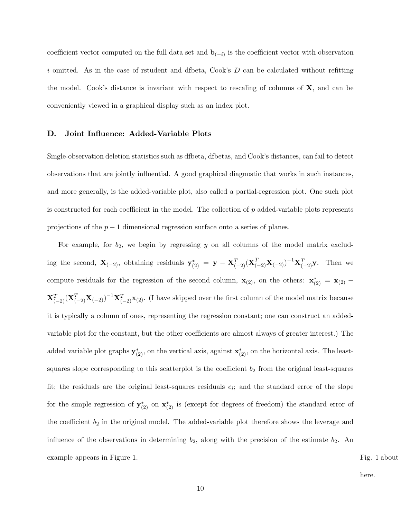coefficient vector computed on the full data set and  $\mathbf{b}_{(-i)}$  is the coefficient vector with observation i omitted. As in the case of rstudent and dfbeta, Cook's  $D$  can be calculated without refitting the model. Cook's distance is invariant with respect to rescaling of columns of  $X$ , and can be conveniently viewed in a graphical display such as an index plot.

#### D. Joint Influence: Added-Variable Plots

Single-observation deletion statistics such as dfbeta, dfbetas, and Cook's distances, can fail to detect observations that are jointly influential. A good graphical diagnostic that works in such instances, and more generally, is the added-variable plot, also called a partial-regression plot. One such plot is constructed for each coefficient in the model. The collection of  $p$  added-variable plots represents projections of the  $p-1$  dimensional regression surface onto a series of planes.

For example, for  $b_2$ , we begin by regressing y on all columns of the model matrix excluding the second,  $\mathbf{X}_{(-2)}$ , obtaining residuals  $\mathbf{y}_{(2)}^* = \mathbf{y} - \mathbf{X}_{(-2)}^T (\mathbf{X}_{(-2)}^T \mathbf{X}_{(-2)})^{-1} \mathbf{X}_{(-2)}^T \mathbf{y}$ . Then we compute residuals for the regression of the second column,  $\mathbf{x}_{(2)}$ , on the others:  $\mathbf{x}_{(2)}^* = \mathbf{x}_{(2)} - \mathbf{x}_{(2)}$  $\mathbf{X}_{(-2)}^T(\mathbf{X}_{(-2)}^T\mathbf{X}_{(-2)})^{-1}\mathbf{X}_{(-2)}^T\mathbf{x}_{(2)}$ . (I have skipped over the first column of the model matrix because it is typically a column of ones, representing the regression constant; one can construct an addedvariable plot for the constant, but the other coefficients are almost always of greater interest.) The added variable plot graphs  $y^*_{(2)}$ , on the vertical axis, against  $x^*_{(2)}$ , on the horizontal axis. The leastsquares slope corresponding to this scatterplot is the coefficient  $b_2$  from the original least-squares fit; the residuals are the original least-squares residuals  $e_i$ ; and the standard error of the slope for the simple regression of  $y^*_{(2)}$  on  $x^*_{(2)}$  is (except for degrees of freedom) the standard error of the coefficient  $b_2$  in the original model. The added-variable plot therefore shows the leverage and influence of the observations in determining  $b_2$ , along with the precision of the estimate  $b_2$ . An example appears in Figure 1. The set of the set of the set of the set of the set of the set of the set of the set of the set of the set of the set of the set of the set of the set of the set of the set of the set of the se

here.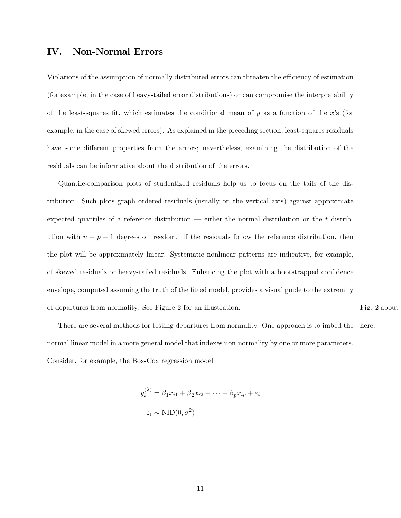# IV. Non-Normal Errors

Violations of the assumption of normally distributed errors can threaten the efficiency of estimation (for example, in the case of heavy-tailed error distributions) or can compromise the interpretability of the least-squares fit, which estimates the conditional mean of  $y$  as a function of the x's (for example, in the case of skewed errors). As explained in the preceding section, least-squares residuals have some different properties from the errors; nevertheless, examining the distribution of the residuals can be informative about the distribution of the errors.

Quantile-comparison plots of studentized residuals help us to focus on the tails of the distribution. Such plots graph ordered residuals (usually on the vertical axis) against approximate expected quantiles of a reference distribution  $-$  either the normal distribution or the t distribution with  $n - p - 1$  degrees of freedom. If the residuals follow the reference distribution, then the plot will be approximately linear. Systematic nonlinear patterns are indicative, for example, of skewed residuals or heavy-tailed residuals. Enhancing the plot with a bootstrapped confidence envelope, computed assuming the truth of the fitted model, provides a visual guide to the extremity of departures from normality. See Figure 2 for an illustration. Fig. 2 about

There are several methods for testing departures from normality. One approach is to imbed the here. normal linear model in a more general model that indexes non-normality by one or more parameters. Consider, for example, the Box-Cox regression model

$$
y_i^{(\lambda)} = \beta_1 x_{i1} + \beta_2 x_{i2} + \dots + \beta_p x_{ip} + \varepsilon_i
$$

$$
\varepsilon_i \sim \text{NID}(0, \sigma^2)
$$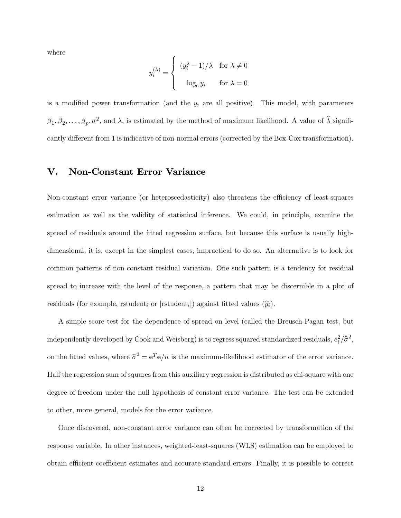where

$$
y_i^{(\lambda)} = \begin{cases} (y_i^{\lambda} - 1)/\lambda & \text{for } \lambda \neq 0 \\ \log_e y_i & \text{for } \lambda = 0 \end{cases}
$$

is a modified power transformation (and the  $y_i$  are all positive). This model, with parameters  $\beta_1, \beta_2, \ldots, \beta_p, \sigma^2$ , and  $\lambda$ , is estimated by the method of maximum likelihood. A value of  $\hat{\lambda}$  significantly different from 1 is indicative of non-normal errors (corrected by the Box-Cox transformation).

#### V. Non-Constant Error Variance

Non-constant error variance (or heteroscedasticity) also threatens the efficiency of least-squares estimation as well as the validity of statistical inference. We could, in principle, examine the spread of residuals around the fitted regression surface, but because this surface is usually highdimensional, it is, except in the simplest cases, impractical to do so. An alternative is to look for common patterns of non-constant residual variation. One such pattern is a tendency for residual spread to increase with the level of the response, a pattern that may be discernible in a plot of residuals (for example, rstudent<sub>i</sub> or  $|\text{rstudent}_i|$ ) against fitted values  $(\widehat{y}_i)$ .

A simple score test for the dependence of spread on level (called the Breusch-Pagan test, but independently developed by Cook and Weisberg) is to regress squared standardized residuals,  $e_i^2/\hat{\sigma}^2$ , on the fitted values, where  $\hat{\sigma}^2 = e^T e/n$  is the maximum-likelihood estimator of the error variance. Half the regression sum of squares from this auxiliary regression is distributed as chi-square with one degree of freedom under the null hypothesis of constant error variance. The test can be extended to other, more general, models for the error variance.

Once discovered, non-constant error variance can often be corrected by transformation of the response variable. In other instances, weighted-least-squares (WLS) estimation can be employed to obtain efficient coefficient estimates and accurate standard errors. Finally, it is possible to correct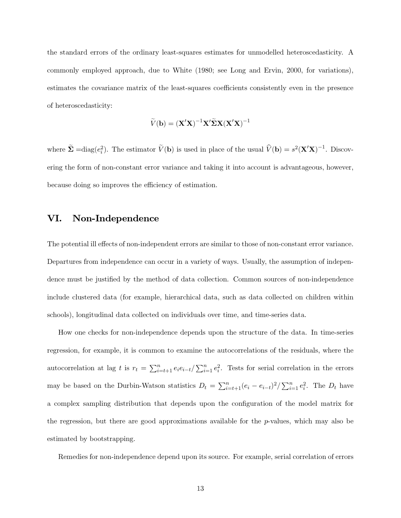the standard errors of the ordinary least-squares estimates for unmodelled heteroscedasticity. A commonly employed approach, due to White (1980; see Long and Ervin, 2000, for variations), estimates the covariance matrix of the least-squares coefficients consistently even in the presence of heteroscedasticity:

$$
\widetilde{V}(\mathbf{b}) = (\mathbf{X}'\mathbf{X})^{-1}\mathbf{X}'\widetilde{\boldsymbol{\Sigma}}\mathbf{X}(\mathbf{X}'\mathbf{X})^{-1}
$$

where  $\widetilde{\mathbf{\Sigma}} = \text{diag}(e_i^2)$ . The estimator  $\widetilde{V}(\mathbf{b})$  is used in place of the usual  $\widehat{V}(\mathbf{b}) = s^2 (\mathbf{X}' \mathbf{X})^{-1}$ . Discovering the form of non-constant error variance and taking it into account is advantageous, however, because doing so improves the efficiency of estimation.

# VI. Non-Independence

The potential ill effects of non-independent errors are similar to those of non-constant error variance. Departures from independence can occur in a variety of ways. Usually, the assumption of independence must be justified by the method of data collection. Common sources of non-independence include clustered data (for example, hierarchical data, such as data collected on children within schools), longitudinal data collected on individuals over time, and time-series data.

How one checks for non-independence depends upon the structure of the data. In time-series regression, for example, it is common to examine the autocorrelations of the residuals, where the autocorrelation at lag t is  $r_t = \sum_{i=t+1}^n e_i e_{i-t} / \sum_{i=1}^n e_i^2$ . Tests for serial correlation in the errors may be based on the Durbin-Watson statistics  $D_t = \sum_{i=t+1}^n (e_i - e_{i-t})^2 / \sum_{i=1}^n e_i^2$ . The  $D_t$  have a complex sampling distribution that depends upon the configuration of the model matrix for the regression, but there are good approximations available for the  $p$ -values, which may also be estimated by bootstrapping.

Remedies for non-independence depend upon its source. For example, serial correlation of errors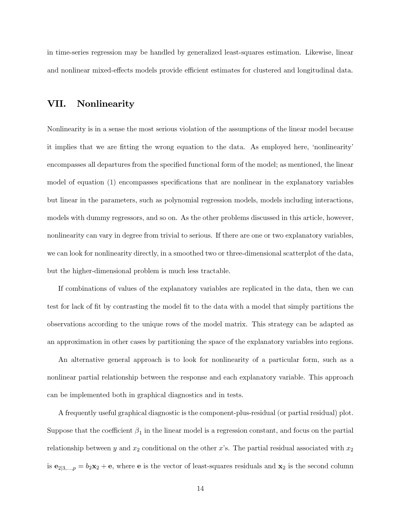in time-series regression may be handled by generalized least-squares estimation. Likewise, linear and nonlinear mixed-effects models provide efficient estimates for clustered and longitudinal data.

### VII. Nonlinearity

Nonlinearity is in a sense the most serious violation of the assumptions of the linear model because it implies that we are fitting the wrong equation to the data. As employed here, 'nonlinearity' encompasses all departures from the specified functional form of the model; as mentioned, the linear model of equation (1) encompasses specifications that are nonlinear in the explanatory variables but linear in the parameters, such as polynomial regression models, models including interactions, models with dummy regressors, and so on. As the other problems discussed in this article, however, nonlinearity can vary in degree from trivial to serious. If there are one or two explanatory variables, we can look for nonlinearity directly, in a smoothed two or three-dimensional scatterplot of the data, but the higher-dimensional problem is much less tractable.

If combinations of values of the explanatory variables are replicated in the data, then we can test for lack of fit by contrasting the model fit to the data with a model that simply partitions the observations according to the unique rows of the model matrix. This strategy can be adapted as an approximation in other cases by partitioning the space of the explanatory variables into regions.

An alternative general approach is to look for nonlinearity of a particular form, such as a nonlinear partial relationship between the response and each explanatory variable. This approach can be implemented both in graphical diagnostics and in tests.

A frequently useful graphical diagnostic is the component-plus-residual (or partial residual) plot. Suppose that the coefficient  $\beta_1$  in the linear model is a regression constant, and focus on the partial relationship between y and  $x_2$  conditional on the other x's. The partial residual associated with  $x_2$ is  $e_{2|3,...,p} = b_2x_2 + e$ , where e is the vector of least-squares residuals and  $x_2$  is the second column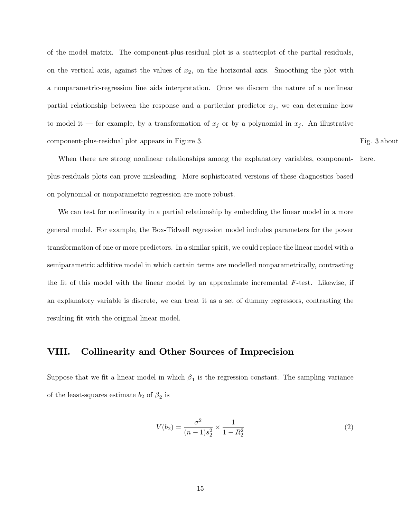of the model matrix. The component-plus-residual plot is a scatterplot of the partial residuals, on the vertical axis, against the values of  $x_2$ , on the horizontal axis. Smoothing the plot with a nonparametric-regression line aids interpretation. Once we discern the nature of a nonlinear partial relationship between the response and a particular predictor  $x_j$ , we can determine how to model it – for example, by a transformation of  $x_j$  or by a polynomial in  $x_j$ . An illustrative component-plus-residual plot appears in Figure 3. Fig. 3 about  $\Gamma$ 

When there are strong nonlinear relationships among the explanatory variables, component- here. plus-residuals plots can prove misleading. More sophisticated versions of these diagnostics based on polynomial or nonparametric regression are more robust.

We can test for nonlinearity in a partial relationship by embedding the linear model in a more general model. For example, the Box-Tidwell regression model includes parameters for the power transformation of one or more predictors. In a similar spirit, we could replace the linear model with a semiparametric additive model in which certain terms are modelled nonparametrically, contrasting the fit of this model with the linear model by an approximate incremental  $F$ -test. Likewise, if an explanatory variable is discrete, we can treat it as a set of dummy regressors, contrasting the resulting fit with the original linear model.

# VIII. Collinearity and Other Sources of Imprecision

Suppose that we fit a linear model in which  $\beta_1$  is the regression constant. The sampling variance of the least-squares estimate  $b_2$  of  $\beta_2$  is

$$
V(b_2) = \frac{\sigma^2}{(n-1)s_2^2} \times \frac{1}{1 - R_2^2}
$$
 (2)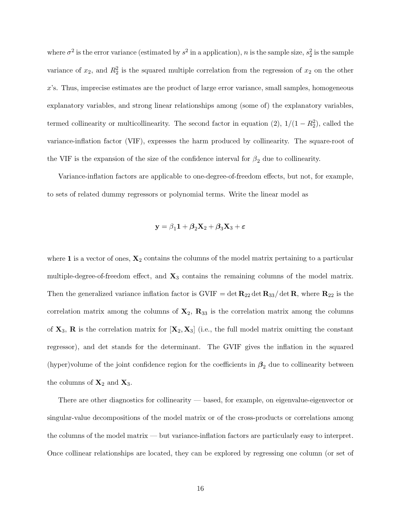where  $\sigma^2$  is the error variance (estimated by  $s^2$  in a application), n is the sample size,  $s_2^2$  is the sample variance of  $x_2$ , and  $R_2^2$  is the squared multiple correlation from the regression of  $x_2$  on the other x's. Thus, imprecise estimates are the product of large error variance, small samples, homogeneous explanatory variables, and strong linear relationships among (some of) the explanatory variables, termed collinearity or multicollinearity. The second factor in equation (2),  $1/(1 - R_2^2)$ , called the variance-inflation factor (VIF), expresses the harm produced by collinearity. The square-root of the VIF is the expansion of the size of the confidence interval for  $\beta_2$  due to collinearity.

Variance-inflation factors are applicable to one-degree-of-freedom effects, but not, for example, to sets of related dummy regressors or polynomial terms. Write the linear model as

$$
\mathbf{y} = \beta_1 \mathbf{1} + \boldsymbol{\beta}_2 \mathbf{X}_2 + \boldsymbol{\beta}_3 \mathbf{X}_3 + \boldsymbol{\varepsilon}
$$

where 1 is a vector of ones,  $\mathbf{X}_2$  contains the columns of the model matrix pertaining to a particular multiple-degree-of-freedom effect, and  $\mathbf{X}_3$  contains the remaining columns of the model matrix. Then the generalized variance inflation factor is  $GVIF = det R_{22} det R_{33}/ det R$ , where  $R_{22}$  is the correlation matrix among the columns of  $X_2$ ,  $R_{33}$  is the correlation matrix among the columns of  $X_3$ , **R** is the correlation matrix for  $[X_2, X_3]$  (i.e., the full model matrix omitting the constant regressor), and det stands for the determinant. The GVIF gives the inflation in the squared (hyper)volume of the joint confidence region for the coefficients in  $\beta_2$  due to collinearity between the columns of  $\mathbf{X}_2$  and  $\mathbf{X}_3$ .

There are other diagnostics for collinearity – based, for example, on eigenvalue-eigenvector or singular-value decompositions of the model matrix or of the cross-products or correlations among the columns of the model matrix – but variance-inflation factors are particularly easy to interpret. Once collinear relationships are located, they can be explored by regressing one column (or set of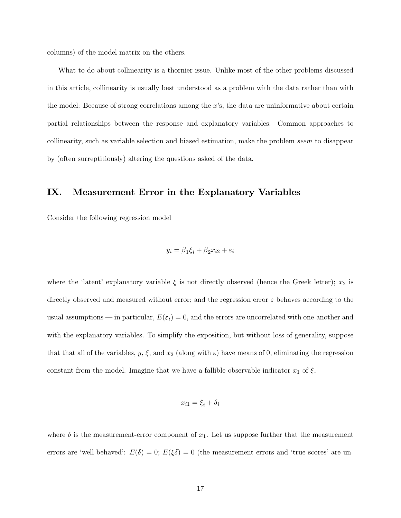columns) of the model matrix on the others.

What to do about collinearity is a thornier issue. Unlike most of the other problems discussed in this article, collinearity is usually best understood as a problem with the data rather than with the model: Because of strong correlations among the x's, the data are uninformative about certain partial relationships between the response and explanatory variables. Common approaches to collinearity, such as variable selection and biased estimation, make the problem seem to disappear by (often surreptitiously) altering the questions asked of the data.

### IX. Measurement Error in the Explanatory Variables

Consider the following regression model

$$
y_i = \beta_1 \xi_i + \beta_2 x_{i2} + \varepsilon_i
$$

where the 'latent' explanatory variable  $\xi$  is not directly observed (hence the Greek letter);  $x_2$  is directly observed and measured without error; and the regression error  $\varepsilon$  behaves according to the usual assumptions – in particular,  $E(\varepsilon_i)=0$ , and the errors are uncorrelated with one-another and with the explanatory variables. To simplify the exposition, but without loss of generality, suppose that that all of the variables,  $y, \xi$ , and  $x_2$  (along with  $\varepsilon$ ) have means of 0, eliminating the regression constant from the model. Imagine that we have a fallible observable indicator  $x_1$  of  $\xi$ ,

$$
x_{i1} = \xi_i + \delta_i
$$

where  $\delta$  is the measurement-error component of  $x_1$ . Let us suppose further that the measurement errors are 'well-behaved':  $E(\delta)=0$ ;  $E(\xi\delta)=0$  (the measurement errors and 'true scores' are un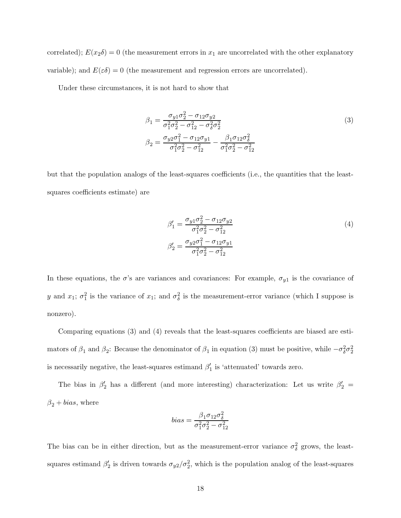correlated);  $E(x_2\delta)=0$  (the measurement errors in  $x_1$  are uncorrelated with the other explanatory variable); and  $E(\varepsilon\delta)=0$  (the measurement and regression errors are uncorrelated).

Under these circumstances, it is not hard to show that

$$
\beta_1 = \frac{\sigma_{y1}\sigma_2^2 - \sigma_{12}\sigma_{y2}}{\sigma_1^2 \sigma_2^2 - \sigma_{12}^2 - \sigma_\delta^2 \sigma_2^2}
$$
\n
$$
\beta_2 = \frac{\sigma_{y2}\sigma_1^2 - \sigma_{12}\sigma_{y1}}{\sigma_1^2 \sigma_2^2 - \sigma_{12}^2} - \frac{\beta_1 \sigma_{12} \sigma_\delta^2}{\sigma_1^2 \sigma_2^2 - \sigma_{12}^2}
$$
\n(3)

but that the population analogs of the least-squares coefficients (i.e., the quantities that the leastsquares coefficients estimate) are

$$
\beta_1' = \frac{\sigma_{y1}\sigma_2^2 - \sigma_{12}\sigma_{y2}}{\sigma_1^2\sigma_2^2 - \sigma_{12}^2}
$$
\n
$$
\beta_2' = \frac{\sigma_{y2}\sigma_1^2 - \sigma_{12}\sigma_{y1}}{\sigma_1^2\sigma_2^2 - \sigma_{12}^2}
$$
\n(4)

In these equations, the  $\sigma$ 's are variances and covariances: For example,  $\sigma_{y1}$  is the covariance of y and  $x_1$ ;  $\sigma_1^2$  is the variance of  $x_1$ ; and  $\sigma_\delta^2$  is the measurement-error variance (which I suppose is nonzero).

Comparing equations (3) and (4) reveals that the least-squares coefficients are biased are estimators of  $\beta_1$  and  $\beta_2$ : Because the denominator of  $\beta_1$  in equation (3) must be positive, while  $-\sigma_\delta^2 \sigma_2^2$ is necessarily negative, the least-squares estimand  $\beta'_1$  is 'attenuated' towards zero.

The bias in  $\beta_2'$  has a different (and more interesting) characterization: Let us write  $\beta_2'$  =  $\beta_2 + bias$ , where

$$
bias = \frac{\beta_1 \sigma_{12} \sigma_{\delta}^2}{\sigma_1^2 \sigma_2^2 - \sigma_{12}^2}
$$

The bias can be in either direction, but as the measurement-error variance  $\sigma_{\delta}^2$  grows, the leastsquares estimand  $\beta'_2$  is driven towards  $\sigma_{y2}/\sigma_2^2$ , which is the population analog of the least-squares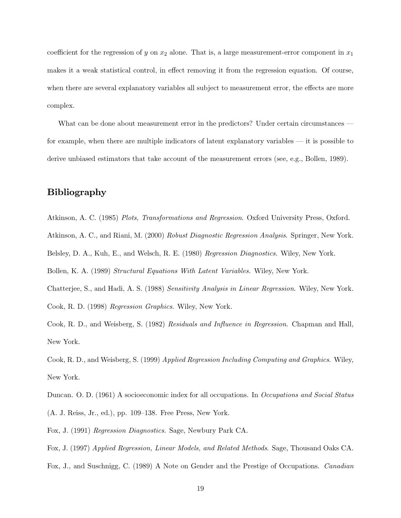coefficient for the regression of y on  $x_2$  alone. That is, a large measurement-error component in  $x_1$ makes it a weak statistical control, in effect removing it from the regression equation. Of course, when there are several explanatory variables all subject to measurement error, the effects are more complex.

What can be done about measurement error in the predictors? Under certain circumstances for example, when there are multiple indicators of latent explanatory variables – it is possible to derive unbiased estimators that take account of the measurement errors (see, e.g., Bollen, 1989).

# Bibliography

Atkinson, A. C. (1985) Plots, Transformations and Regression. Oxford University Press, Oxford.

Atkinson, A. C., and Riani, M. (2000) Robust Diagnostic Regression Analysis. Springer, New York.

Belsley, D. A., Kuh, E., and Welsch, R. E. (1980) Regression Diagnostics. Wiley, New York.

Bollen, K. A. (1989) Structural Equations With Latent Variables. Wiley, New York.

Chatterjee, S., and Hadi, A. S. (1988) Sensitivity Analysis in Linear Regression. Wiley, New York. Cook, R. D. (1998) Regression Graphics. Wiley, New York.

Cook, R. D., and Weisberg, S. (1982) Residuals and Influence in Regression. Chapman and Hall, New York.

Cook, R. D., and Weisberg, S. (1999) Applied Regression Including Computing and Graphics. Wiley, New York.

Duncan. O. D. (1961) A socioeconomic index for all occupations. In Occupations and Social Status (A. J. Reiss, Jr., ed.), pp. 109—138. Free Press, New York.

Fox, J. (1991) Regression Diagnostics. Sage, Newbury Park CA.

Fox, J. (1997) Applied Regression, Linear Models, and Related Methods. Sage, Thousand Oaks CA. Fox, J., and Suschnigg, C. (1989) A Note on Gender and the Prestige of Occupations. Canadian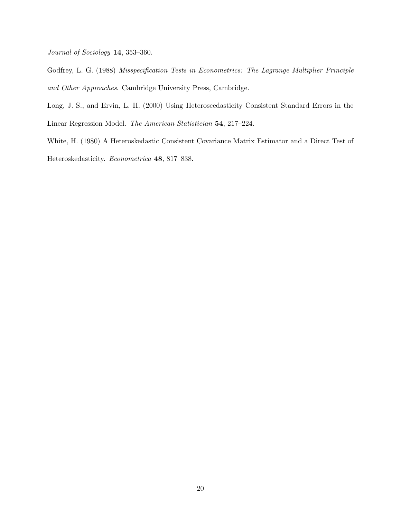Journal of Sociology 14, 353—360.

Godfrey, L. G. (1988) Misspecification Tests in Econometrics: The Lagrange Multiplier Principle and Other Approaches. Cambridge University Press, Cambridge.

Long, J. S., and Ervin, L. H. (2000) Using Heteroscedasticity Consistent Standard Errors in the Linear Regression Model. The American Statistician 54, 217—224.

White, H. (1980) A Heteroskedastic Consistent Covariance Matrix Estimator and a Direct Test of Heteroskedasticity. Econometrica 48, 817—838.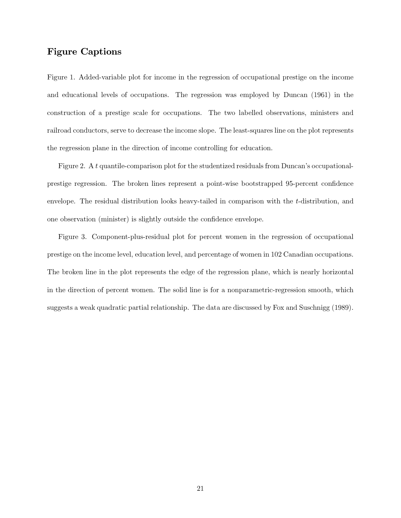# Figure Captions

Figure 1. Added-variable plot for income in the regression of occupational prestige on the income and educational levels of occupations. The regression was employed by Duncan (1961) in the construction of a prestige scale for occupations. The two labelled observations, ministers and railroad conductors, serve to decrease the income slope. The least-squares line on the plot represents the regression plane in the direction of income controlling for education.

Figure 2. A t quantile-comparison plot for the studentized residuals from Duncan's occupationalprestige regression. The broken lines represent a point-wise bootstrapped 95-percent confidence envelope. The residual distribution looks heavy-tailed in comparison with the t-distribution, and one observation (minister) is slightly outside the confidence envelope.

Figure 3. Component-plus-residual plot for percent women in the regression of occupational prestige on the income level, education level, and percentage of women in 102 Canadian occupations. The broken line in the plot represents the edge of the regression plane, which is nearly horizontal in the direction of percent women. The solid line is for a nonparametric-regression smooth, which suggests a weak quadratic partial relationship. The data are discussed by Fox and Suschnigg (1989).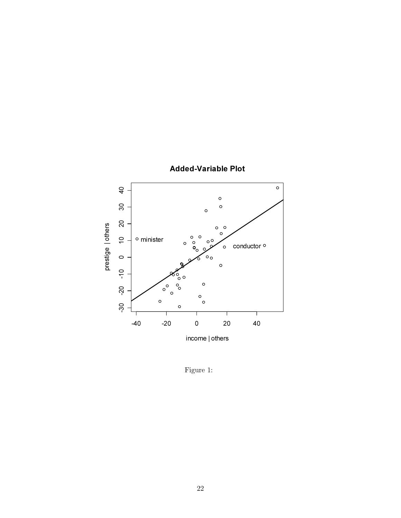

Added-Variable Plot

Figure 1: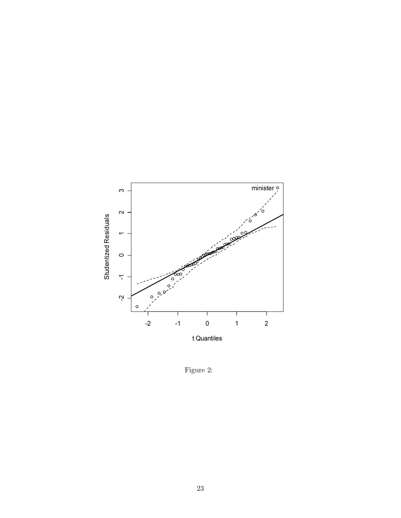

Figure 2: